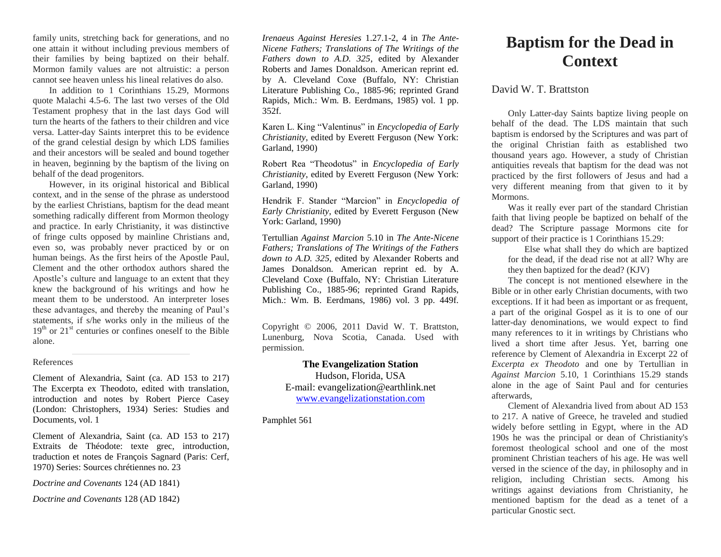family units, stretching back for generations, and no one attain it without including previous members of their families by being baptized on their behalf. Mormon family values are not altruistic: a person cannot see heaven unless his lineal relatives do also.

In addition to 1 Corinthians 15.29, Mormons quote Malachi 4.5-6. The last two verses of the Old Testament prophesy that in the last days God will turn the hearts of the fathers to their children and vice versa. Latter-day Saints interpret this to be evidence of the grand celestial design by which LDS families and their ancestors will be sealed and bound together in heaven, beginning by the baptism of the living on behalf of the dead progenitors.

However, in its original historical and Biblical context, and in the sense of the phrase as understood by the earliest Christians, baptism for the dead meant something radically different from Mormon theology and practice. In early Christianity, it was distinctive of fringe cults opposed by mainline Christians and, even so, was probably never practiced by or on human beings. As the first heirs of the Apostle Paul, Clement and the other orthodox authors shared the Apostle's culture and language to an extent that they knew the background of his writings and how he meant them to be understood. An interpreter loses these advantages, and thereby the meaning of Paul's statements, if s/he works only in the milieus of the  $19<sup>th</sup>$  or  $21<sup>st</sup>$  centuries or confines oneself to the Bible alone.

## References

Clement of Alexandria, Saint (ca. AD 153 to 217) The Excerpta ex Theodoto, edited with translation, introduction and notes by Robert Pierce Casey (London: Christophers, 1934) Series: Studies and Documents, vol. 1

Clement of Alexandria, Saint (ca. AD 153 to 217) Extraits de Théodote: texte grec, introduction, traduction et notes de François Sagnard (Paris: Cerf, 1970) Series: Sources chrétiennes no. 23

*Doctrine and Covenants* 124 (AD 1841)

*Doctrine and Covenants* 128 (AD 1842)

*Irenaeus Against Heresies* 1.27.1-2, 4 in *The Ante-Nicene Fathers; Translations of The Writings of the Fathers down to A.D. 325*, edited by Alexander Roberts and James Donaldson. American reprint ed. by A. Cleveland Coxe (Buffalo, NY: Christian Literature Publishing Co., 1885-96; reprinted Grand Rapids, Mich.: Wm. B. Eerdmans, 1985) vol. 1 pp. 352f.

Karen L. King "Valentinus" in *Encyclopedia of Early Christianity*, edited by Everett Ferguson (New York: Garland, 1990)

Robert Rea "Theodotus" in *Encyclopedia of Early Christianity*, edited by Everett Ferguson (New York: Garland, 1990)

Hendrik F. Stander "Marcion" in *Encyclopedia of Early Christianity*, edited by Everett Ferguson (New York: Garland, 1990)

Tertullian *Against Marcion* 5.10 in *The Ante-Nicene Fathers; Translations of The Writings of the Fathers down to A.D. 325,* edited by Alexander Roberts and James Donaldson. American reprint ed. by A. Cleveland Coxe (Buffalo, NY: Christian Literature Publishing Co., 1885-96; reprinted Grand Rapids, Mich.: Wm. B. Eerdmans, 1986) vol. 3 pp. 449f.

Copyright © 2006, 2011 David W. T. Brattston, Lunenburg, Nova Scotia, Canada. Used with permission.

## **The Evangelization Station**

Hudson, Florida, USA E-mail: evangelization@earthlink.net [www.evangelizationstation.com](http://www.pjpiisoe.org/)

Pamphlet 561

## **Baptism for the Dead in Context**

## David W. T. Brattston

Only Latter-day Saints baptize living people on behalf of the dead. The LDS maintain that such baptism is endorsed by the Scriptures and was part of the original Christian faith as established two thousand years ago. However, a study of Christian antiquities reveals that baptism for the dead was not practiced by the first followers of Jesus and had a very different meaning from that given to it by Mormons.

Was it really ever part of the standard Christian faith that living people be baptized on behalf of the dead? The Scripture passage Mormons cite for support of their practice is 1 Corinthians 15.29:

Else what shall they do which are baptized for the dead, if the dead rise not at all? Why are they then baptized for the dead? (KJV)

The concept is not mentioned elsewhere in the Bible or in other early Christian documents, with two exceptions. If it had been as important or as frequent, a part of the original Gospel as it is to one of our latter-day denominations, we would expect to find many references to it in writings by Christians who lived a short time after Jesus. Yet, barring one reference by Clement of Alexandria in Excerpt 22 of *Excerpta ex Theodoto* and one by Tertullian in *Against Marcion* 5.10, 1 Corinthians 15.29 stands alone in the age of Saint Paul and for centuries afterwards,

Clement of Alexandria lived from about AD 153 to 217. A native of Greece, he traveled and studied widely before settling in Egypt, where in the AD 190s he was the principal or dean of Christianity's foremost theological school and one of the most prominent Christian teachers of his age. He was well versed in the science of the day, in philosophy and in religion, including Christian sects. Among his writings against deviations from Christianity, he mentioned baptism for the dead as a tenet of a particular Gnostic sect.